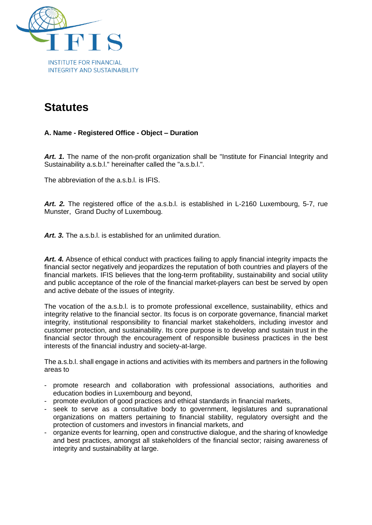

# **Statutes**

# **A. Name - Registered Office - Object – Duration**

*Art. 1.* The name of the non-profit organization shall be "Institute for Financial Integrity and Sustainability a.s.b.l." hereinafter called the "a.s.b.l.".

The abbreviation of the a.s.b.l. is IFIS.

*Art. 2.* The registered office of the a.s.b.l. is established in L-2160 Luxembourg, 5-7, rue Munster, Grand Duchy of Luxemboug.

*Art. 3.* The a.s.b.l. is established for an unlimited duration.

*Art. 4.* Absence of ethical conduct with practices failing to apply financial integrity impacts the financial sector negatively and jeopardizes the reputation of both countries and players of the financial markets. IFIS believes that the long-term profitability, sustainability and social utility and public acceptance of the role of the financial market-players can best be served by open and active debate of the issues of integrity.

The vocation of the a.s.b.l. is to promote professional excellence, sustainability, ethics and integrity relative to the financial sector. Its focus is on corporate governance, financial market integrity, institutional responsibility to financial market stakeholders, including investor and customer protection, and sustainability. Its core purpose is to develop and sustain trust in the financial sector through the encouragement of responsible business practices in the best interests of the financial industry and society-at-large.

The a.s.b.l. shall engage in actions and activities with its members and partners in the following areas to

- promote research and collaboration with professional associations, authorities and education bodies in Luxembourg and beyond,
- promote evolution of good practices and ethical standards in financial markets,
- seek to serve as a consultative body to government, legislatures and supranational organizations on matters pertaining to financial stability, regulatory oversight and the protection of customers and investors in financial markets, and
- organize events for learning, open and constructive dialogue, and the sharing of knowledge and best practices, amongst all stakeholders of the financial sector; raising awareness of integrity and sustainability at large.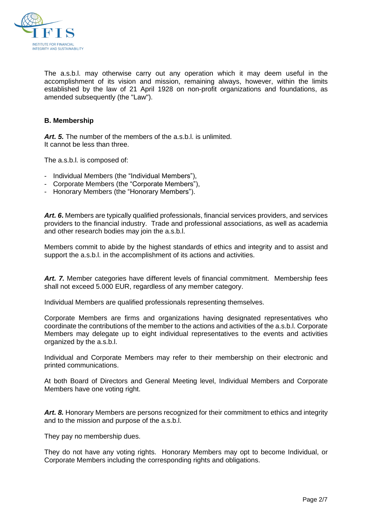

The a.s.b.l. may otherwise carry out any operation which it may deem useful in the accomplishment of its vision and mission, remaining always, however, within the limits established by the law of 21 April 1928 on non-profit organizations and foundations, as amended subsequently (the "Law").

## **B. Membership**

*Art. 5.* The number of the members of the a.s.b.l. is unlimited. It cannot be less than three.

The a.s.b.l. is composed of:

- Individual Members (the "Individual Members"),
- Corporate Members (the "Corporate Members"),
- Honorary Members (the "Honorary Members").

*Art. 6***.** Members are typically qualified professionals, financial services providers, and services providers to the financial industry. Trade and professional associations, as well as academia and other research bodies may join the a.s.b.l.

Members commit to abide by the highest standards of ethics and integrity and to assist and support the a.s.b.l. in the accomplishment of its actions and activities.

*Art. 7.* Member categories have different levels of financial commitment. Membership fees shall not exceed 5.000 EUR, regardless of any member category.

Individual Members are qualified professionals representing themselves.

Corporate Members are firms and organizations having designated representatives who coordinate the contributions of the member to the actions and activities of the a.s.b.l. Corporate Members may delegate up to eight individual representatives to the events and activities organized by the a.s.b.l.

Individual and Corporate Members may refer to their membership on their electronic and printed communications.

At both Board of Directors and General Meeting level, Individual Members and Corporate Members have one voting right.

*Art. 8.* Honorary Members are persons recognized for their commitment to ethics and integrity and to the mission and purpose of the a.s.b.l.

They pay no membership dues.

They do not have any voting rights. Honorary Members may opt to become Individual, or Corporate Members including the corresponding rights and obligations.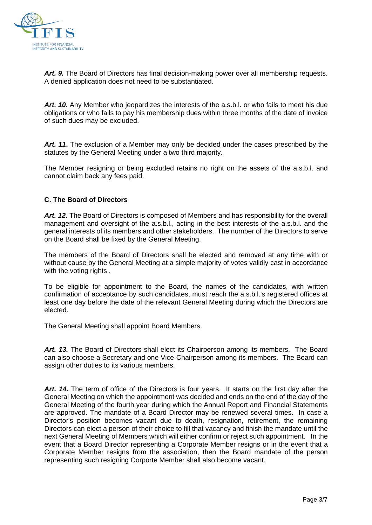

*Art. 9.* The Board of Directors has final decision-making power over all membership requests. A denied application does not need to be substantiated.

*Art. 10.* Any Member who jeopardizes the interests of the a.s.b.l. or who fails to meet his due obligations or who fails to pay his membership dues within three months of the date of invoice of such dues may be excluded.

*Art. 11***.** The exclusion of a Member may only be decided under the cases prescribed by the statutes by the General Meeting under a two third majority.

The Member resigning or being excluded retains no right on the assets of the a.s.b.l. and cannot claim back any fees paid.

## **C. The Board of Directors**

*Art. 12***.** The Board of Directors is composed of Members and has responsibility for the overall management and oversight of the a.s.b.l., acting in the best interests of the a.s.b.l. and the general interests of its members and other stakeholders. The number of the Directors to serve on the Board shall be fixed by the General Meeting.

The members of the Board of Directors shall be elected and removed at any time with or without cause by the General Meeting at a simple majority of votes validly cast in accordance with the voting rights.

To be eligible for appointment to the Board, the names of the candidates, with written confirmation of acceptance by such candidates, must reach the a.s.b.l.'s registered offices at least one day before the date of the relevant General Meeting during which the Directors are elected.

The General Meeting shall appoint Board Members.

*Art. 13.* The Board of Directors shall elect its Chairperson among its members. The Board can also choose a Secretary and one Vice-Chairperson among its members. The Board can assign other duties to its various members.

*Art. 14.* The term of office of the Directors is four years. It starts on the first day after the General Meeting on which the appointment was decided and ends on the end of the day of the General Meeting of the fourth year during which the Annual Report and Financial Statements are approved. The mandate of a Board Director may be renewed several times. In case a Director's position becomes vacant due to death, resignation, retirement, the remaining Directors can elect a person of their choice to fill that vacancy and finish the mandate until the next General Meeting of Members which will either confirm or reject such appointment. In the event that a Board Director representing a Corporate Member resigns or in the event that a Corporate Member resigns from the association, then the Board mandate of the person representing such resigning Corporte Member shall also become vacant.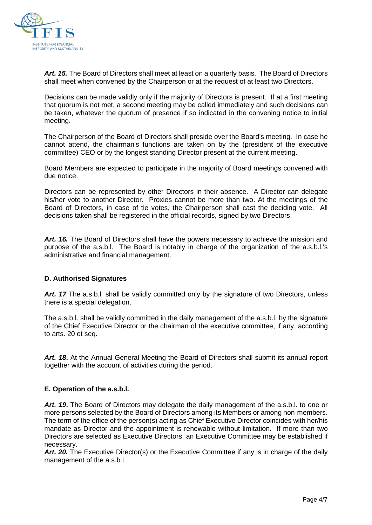

*Art. 15.* The Board of Directors shall meet at least on a quarterly basis. The Board of Directors shall meet when convened by the Chairperson or at the request of at least two Directors.

Decisions can be made validly only if the majority of Directors is present. If at a first meeting that quorum is not met, a second meeting may be called immediately and such decisions can be taken, whatever the quorum of presence if so indicated in the convening notice to initial meeting.

The Chairperson of the Board of Directors shall preside over the Board's meeting. In case he cannot attend, the chairman's functions are taken on by the (president of the executive committee) CEO or by the longest standing Director present at the current meeting.

Board Members are expected to participate in the majority of Board meetings convened with due notice.

Directors can be represented by other Directors in their absence. A Director can delegate his/her vote to another Director. Proxies cannot be more than two. At the meetings of the Board of Directors, in case of tie votes, the Chairperson shall cast the deciding vote. All decisions taken shall be registered in the official records, signed by two Directors.

*Art. 16.* The Board of Directors shall have the powers necessary to achieve the mission and purpose of the a.s.b.l. The Board is notably in charge of the organization of the a.s.b.l.'s administrative and financial management.

## **D. Authorised Signatures**

Art. 17 The a.s.b.l. shall be validly committed only by the signature of two Directors, unless there is a special delegation.

The a.s.b.l. shall be validly committed in the daily management of the a.s.b.l. by the signature of the Chief Executive Director or the chairman of the executive committee, if any, according to arts. 20 et seq.

*Art. 18***.** At the Annual General Meeting the Board of Directors shall submit its annual report together with the account of activities during the period.

#### **E. Operation of the a.s.b.l.**

*Art. 19***.** The Board of Directors may delegate the daily management of the a.s.b.l. to one or more persons selected by the Board of Directors among its Members or among non-members. The term of the office of the person(s) acting as Chief Executive Director coincides with her/his mandate as Director and the appointment is renewable without limitation. If more than two Directors are selected as Executive Directors, an Executive Committee may be established if necessary.

*Art. 20.* The Executive Director(s) or the Executive Committee if any is in charge of the daily management of the a.s.b.l.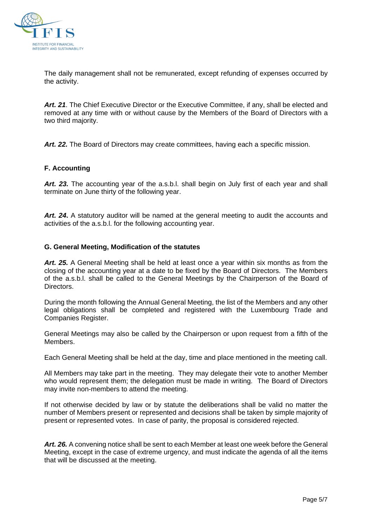

The daily management shall not be remunerated, except refunding of expenses occurred by the activity.

*Art. 21*. The Chief Executive Director or the Executive Committee, if any, shall be elected and removed at any time with or without cause by the Members of the Board of Directors with a two third majority.

*Art. 22.* The Board of Directors may create committees, having each a specific mission.

## **F. Accounting**

*Art. 23.* The accounting year of the a.s.b.l. shall begin on July first of each year and shall terminate on June thirty of the following year.

*Art. 24***.** A statutory auditor will be named at the general meeting to audit the accounts and activities of the a.s.b.l. for the following accounting year.

#### **G. General Meeting, Modification of the statutes**

*Art. 25.* A General Meeting shall be held at least once a year within six months as from the closing of the accounting year at a date to be fixed by the Board of Directors. The Members of the a.s.b.l. shall be called to the General Meetings by the Chairperson of the Board of Directors.

During the month following the Annual General Meeting, the list of the Members and any other legal obligations shall be completed and registered with the Luxembourg Trade and Companies Register.

General Meetings may also be called by the Chairperson or upon request from a fifth of the Members.

Each General Meeting shall be held at the day, time and place mentioned in the meeting call.

All Members may take part in the meeting. They may delegate their vote to another Member who would represent them; the delegation must be made in writing. The Board of Directors may invite non-members to attend the meeting.

If not otherwise decided by law or by statute the deliberations shall be valid no matter the number of Members present or represented and decisions shall be taken by simple majority of present or represented votes. In case of parity, the proposal is considered rejected.

*Art. 26.* A convening notice shall be sent to each Member at least one week before the General Meeting, except in the case of extreme urgency, and must indicate the agenda of all the items that will be discussed at the meeting.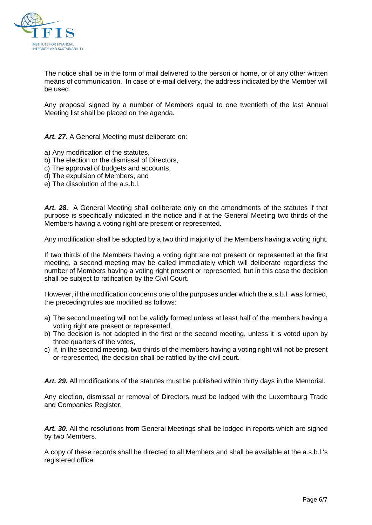

The notice shall be in the form of mail delivered to the person or home, or of any other written means of communication. In case of e-mail delivery, the address indicated by the Member will be used.

Any proposal signed by a number of Members equal to one twentieth of the last Annual Meeting list shall be placed on the agenda.

*Art. 27***.** A General Meeting must deliberate on:

- a) Any modification of the statutes,
- b) The election or the dismissal of Directors,
- c) The approval of budgets and accounts,
- d) The expulsion of Members, and
- e) The dissolution of the a.s.b.l.

*Art. 28.* A General Meeting shall deliberate only on the amendments of the statutes if that purpose is specifically indicated in the notice and if at the General Meeting two thirds of the Members having a voting right are present or represented.

Any modification shall be adopted by a two third majority of the Members having a voting right.

If two thirds of the Members having a voting right are not present or represented at the first meeting, a second meeting may be called immediately which will deliberate regardless the number of Members having a voting right present or represented, but in this case the decision shall be subject to ratification by the Civil Court.

However, if the modification concerns one of the purposes under which the a.s.b.l. was formed, the preceding rules are modified as follows:

- a) The second meeting will not be validly formed unless at least half of the members having a voting right are present or represented,
- b) The decision is not adopted in the first or the second meeting, unless it is voted upon by three quarters of the votes,
- c) If, in the second meeting, two thirds of the members having a voting right will not be present or represented, the decision shall be ratified by the civil court.

*Art. 29.* All modifications of the statutes must be published within thirty days in the Memorial.

Any election, dismissal or removal of Directors must be lodged with the Luxembourg Trade and Companies Register.

*Art. 30.* All the resolutions from General Meetings shall be lodged in reports which are signed by two Members.

A copy of these records shall be directed to all Members and shall be available at the a.s.b.l.'s registered office.